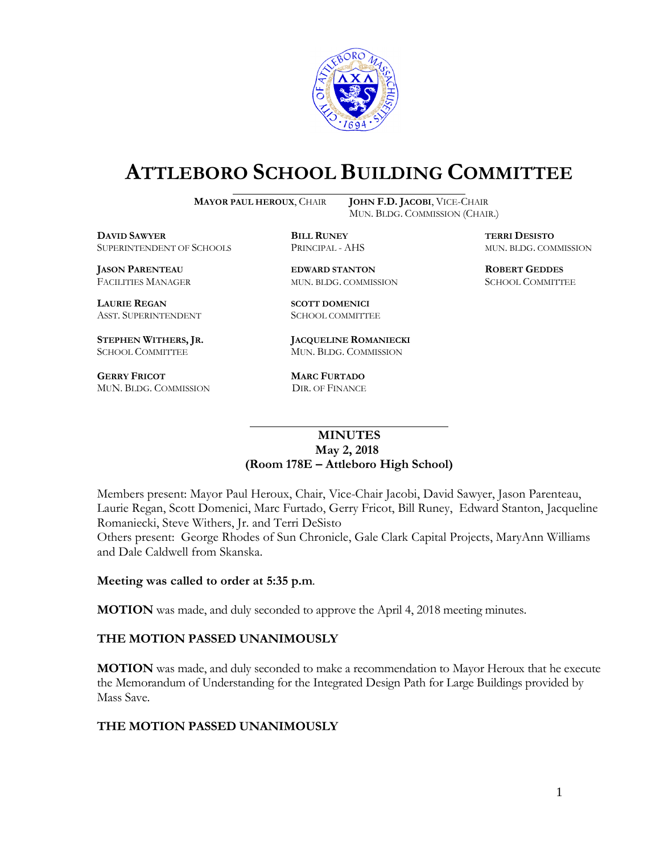

# **ATTLEBORO SCHOOL BUILDING COMMITTEE**

**MAYOR PAUL HEROUX**, CHAIR **JOHN F.D. JACOBI**, VICE-CHAIR

MUN. BLDG. COMMISSION (CHAIR.)

**DAVID SAWYER BILL RUNEY TERRI DESISTO** SUPERINTENDENT OF SCHOOLS PRINCIPAL - AHS MUN. BLDG. COMMISSION

**JASON PARENTEAU EDWARD STANTON ROBERT GEDDES**

**LAURIE REGAN SCOTT DOMENICI** ASST. SUPERINTENDENT SCHOOL COMMITTEE

**GERRY FRICOT MARC FURTADO**  MUN. BLDG. COMMISSION DIR. OF FINANCE

**STEPHEN WITHERS, JR. JACQUELINE ROMANIECKI** SCHOOL COMMITTEE MUN. BLDG. COMMISSION

FACILITIES MANAGER MUN. BLDG. COMMISSION SCHOOL COMMITTEE

## **MINUTES May 2, 2018 (Room 178E – Attleboro High School)**

\_\_\_\_\_\_\_\_\_\_\_\_\_\_\_\_\_\_\_\_\_\_\_\_\_\_\_\_\_\_\_\_\_\_\_\_\_

Members present: Mayor Paul Heroux, Chair, Vice-Chair Jacobi, David Sawyer, Jason Parenteau, Laurie Regan, Scott Domenici, Marc Furtado, Gerry Fricot, Bill Runey, Edward Stanton, Jacqueline Romaniecki, Steve Withers, Jr. and Terri DeSisto

Others present: George Rhodes of Sun Chronicle, Gale Clark Capital Projects, MaryAnn Williams and Dale Caldwell from Skanska.

### **Meeting was called to order at 5:35 p.m**.

**MOTION** was made, and duly seconded to approve the April 4, 2018 meeting minutes.

### **THE MOTION PASSED UNANIMOUSLY**

**MOTION** was made, and duly seconded to make a recommendation to Mayor Heroux that he execute the Memorandum of Understanding for the Integrated Design Path for Large Buildings provided by Mass Save.

### **THE MOTION PASSED UNANIMOUSLY**